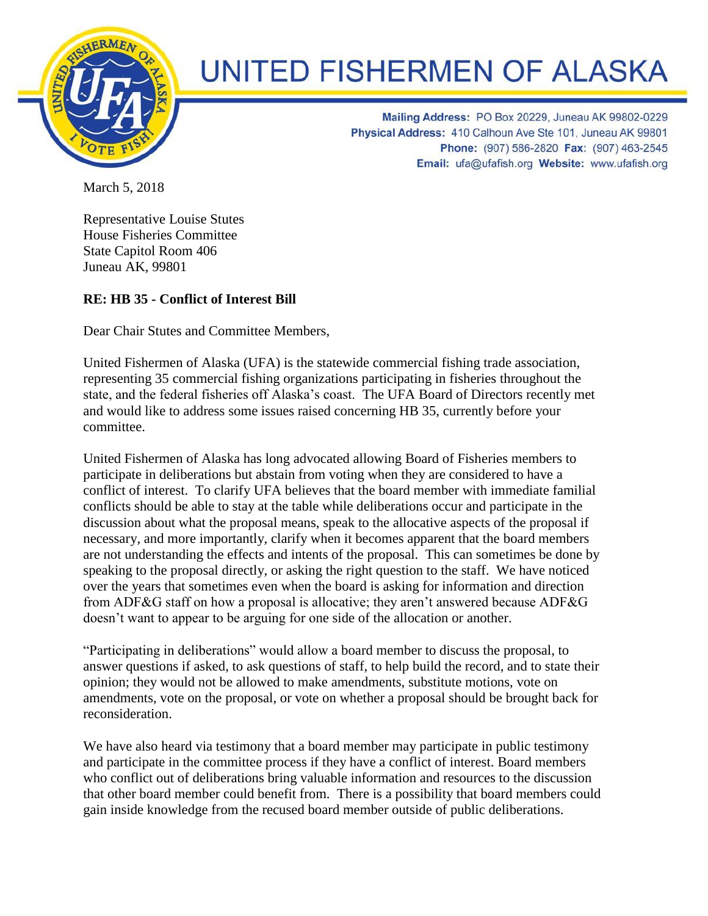

## **UNITED FISHERMEN OF ALASKA**

Mailing Address: PO Box 20229, Juneau AK 99802-0229 Physical Address: 410 Calhoun Ave Ste 101, Juneau AK 99801 Phone: (907) 586-2820 Fax: (907) 463-2545 Email: ufa@ufafish.org Website: www.ufafish.org

March 5, 2018

Representative Louise Stutes House Fisheries Committee State Capitol Room 406 Juneau AK, 99801

## **RE: HB 35 - Conflict of Interest Bill**

Dear Chair Stutes and Committee Members,

United Fishermen of Alaska (UFA) is the statewide commercial fishing trade association, representing 35 commercial fishing organizations participating in fisheries throughout the state, and the federal fisheries off Alaska's coast. The UFA Board of Directors recently met and would like to address some issues raised concerning HB 35, currently before your committee.

United Fishermen of Alaska has long advocated allowing Board of Fisheries members to participate in deliberations but abstain from voting when they are considered to have a conflict of interest. To clarify UFA believes that the board member with immediate familial conflicts should be able to stay at the table while deliberations occur and participate in the discussion about what the proposal means, speak to the allocative aspects of the proposal if necessary, and more importantly, clarify when it becomes apparent that the board members are not understanding the effects and intents of the proposal. This can sometimes be done by speaking to the proposal directly, or asking the right question to the staff. We have noticed over the years that sometimes even when the board is asking for information and direction from ADF&G staff on how a proposal is allocative; they aren't answered because ADF&G doesn't want to appear to be arguing for one side of the allocation or another.

"Participating in deliberations" would allow a board member to discuss the proposal, to answer questions if asked, to ask questions of staff, to help build the record, and to state their opinion; they would not be allowed to make amendments, substitute motions, vote on amendments, vote on the proposal, or vote on whether a proposal should be brought back for reconsideration.

We have also heard via testimony that a board member may participate in public testimony and participate in the committee process if they have a conflict of interest. Board members who conflict out of deliberations bring valuable information and resources to the discussion that other board member could benefit from. There is a possibility that board members could gain inside knowledge from the recused board member outside of public deliberations.